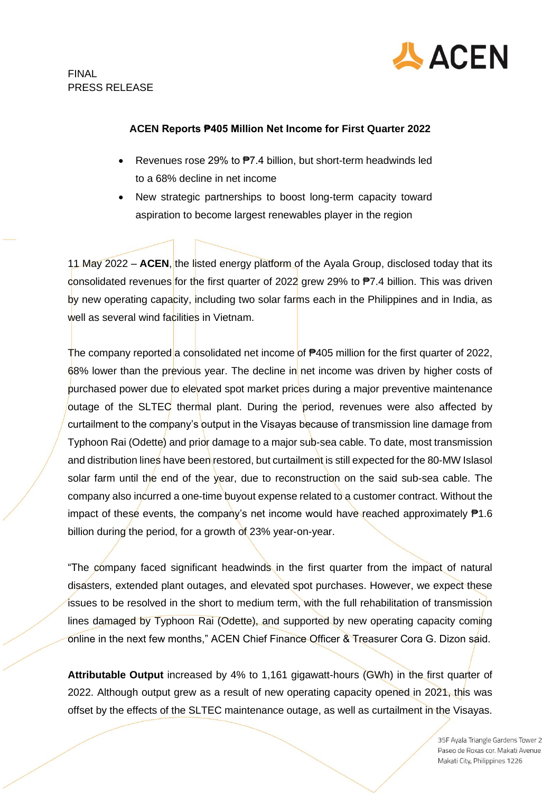

## **ACEN Reports ₱405 Million Net Income for First Quarter 2022**

- Revenues rose 29% to  $P7.4$  billion, but short-term headwinds led to a 68% decline in net income
- New strategic partnerships to boost long-term capacity toward aspiration to become largest renewables player in the region

11 May 2022 – **ACEN**, the listed energy platform of the Ayala Group, disclosed today that its consolidated revenues for the first quarter of 2022 grew 29% to  $P7.4$  billion. This was driven by new operating capacity, including two solar farms each in the Philippines and in India, as well as several wind facilities in Vietnam.

The company reported a consolidated net income of <sup>₹405</sup> million for the first quarter of 2022, 68% lower than the previous year. The decline in net income was driven by higher costs of purchased power due to elevated spot market prices during a major preventive maintenance outage of the SLTEC thermal plant. During the period, revenues were also affected by curtailment to the company's output in the Visayas because of transmission line damage from Typhoon Rai (Odette) and prior damage to a major sub-sea cable. To date, most transmission and distribution lines have been restored, but curtailment is still expected for the 80-MW Islasol solar farm until the end of the year, due to reconstruction on the said sub-sea cable. The company also incurred a one-time buyout expense related to a customer contract. Without the impact of these events, the company's net income would have reached approximately  $P1.6$ billion during the period, for a growth of 23% year-on-year.

"The company faced significant headwinds in the first quarter from the impact of natural disasters, extended plant outages, and elevated spot purchases. However, we expect these issues to be resolved in the short to medium term, with the full rehabilitation of transmission lines damaged by Typhoon Rai (Odette), and supported by new operating capacity coming online in the next few months," ACEN Chief Finance Officer & Treasurer Cora G. Dizon said.

**Attributable Output** increased by 4% to 1,161 gigawatt-hours (GWh) in the first quarter of 2022. Although output grew as a result of new operating capacity opened in 2021, this was offset by the effects of the SLTEC maintenance outage, as well as curtailment in the Visayas.

> 35F Ayala Triangle Gardens Tower 2 Paseo de Roxas cor. Makati Avenue Makati City, Philippines 1226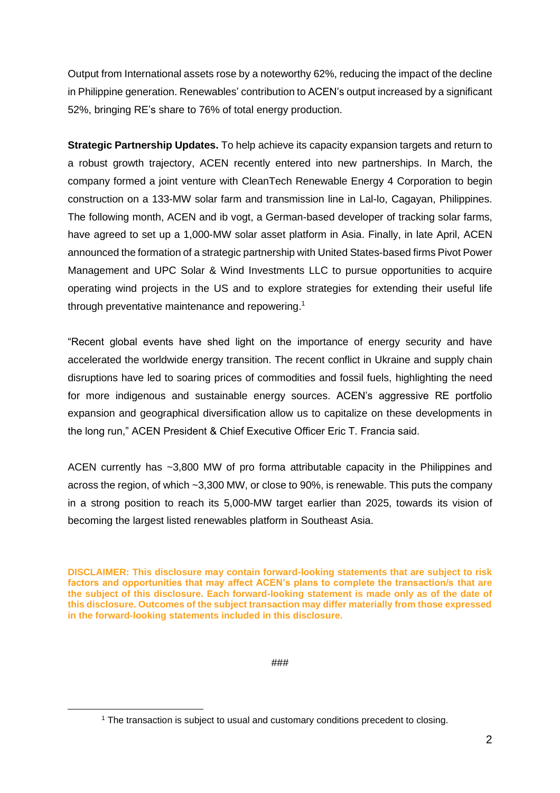Output from International assets rose by a noteworthy 62%, reducing the impact of the decline in Philippine generation. Renewables' contribution to ACEN's output increased by a significant 52%, bringing RE's share to 76% of total energy production.

**Strategic Partnership Updates.** To help achieve its capacity expansion targets and return to a robust growth trajectory, ACEN recently entered into new partnerships. In March, the company formed a joint venture with CleanTech Renewable Energy 4 Corporation to begin construction on a 133-MW solar farm and transmission line in Lal-lo, Cagayan, Philippines. The following month, ACEN and ib vogt, a German-based developer of tracking solar farms, have agreed to set up a 1,000-MW solar asset platform in Asia. Finally, in late April, ACEN announced the formation of a strategic partnership with United States-based firms Pivot Power Management and UPC Solar & Wind Investments LLC to pursue opportunities to acquire operating wind projects in the US and to explore strategies for extending their useful life through preventative maintenance and repowering. 1

"Recent global events have shed light on the importance of energy security and have accelerated the worldwide energy transition. The recent conflict in Ukraine and supply chain disruptions have led to soaring prices of commodities and fossil fuels, highlighting the need for more indigenous and sustainable energy sources. ACEN's aggressive RE portfolio expansion and geographical diversification allow us to capitalize on these developments in the long run," ACEN President & Chief Executive Officer Eric T. Francia said.

ACEN currently has ~3,800 MW of pro forma attributable capacity in the Philippines and across the region, of which ~3,300 MW, or close to 90%, is renewable. This puts the company in a strong position to reach its 5,000-MW target earlier than 2025, towards its vision of becoming the largest listed renewables platform in Southeast Asia.

**DISCLAIMER: This disclosure may contain forward-looking statements that are subject to risk factors and opportunities that may affect ACEN's plans to complete the transaction/s that are the subject of this disclosure. Each forward-looking statement is made only as of the date of this disclosure. Outcomes of the subject transaction may differ materially from those expressed in the forward-looking statements included in this disclosure.**

###

<sup>1</sup> The transaction is subject to usual and customary conditions precedent to closing.